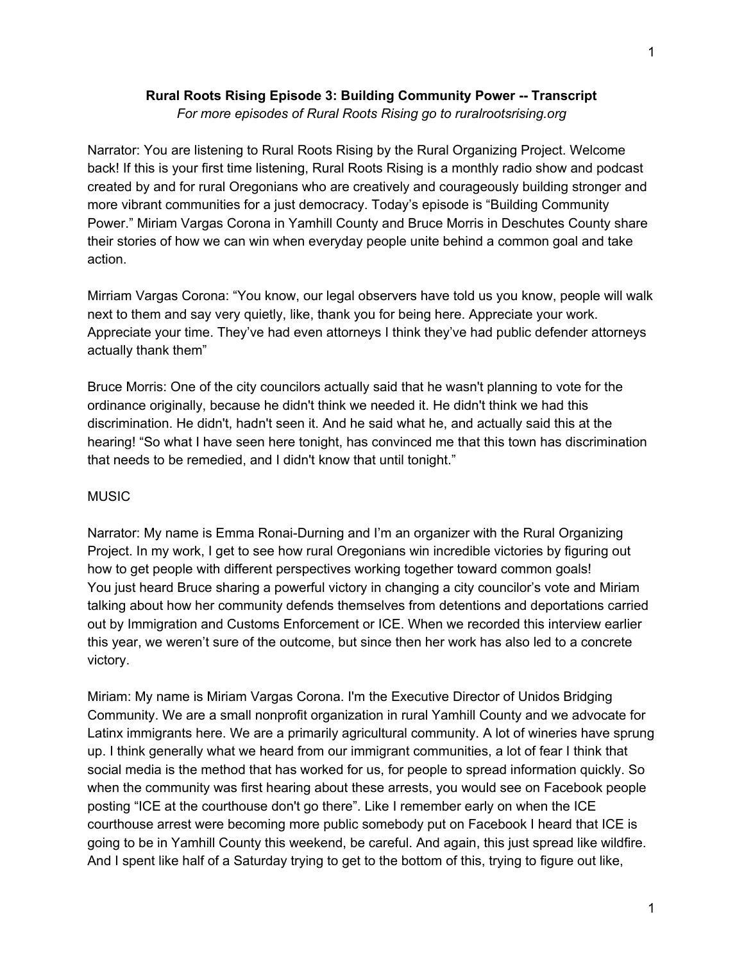# **Rural Roots Rising Episode 3: Building Community Power -- Transcript**

*For more episodes of Rural Roots Rising go to ruralrootsrising.org*

Narrator: You are listening to Rural Roots Rising by the Rural Organizing Project. Welcome back! If this is your first time listening, Rural Roots Rising is a monthly radio show and podcast created by and for rural Oregonians who are creatively and courageously building stronger and more vibrant communities for a just democracy. Today's episode is "Building Community Power." Miriam Vargas Corona in Yamhill County and Bruce Morris in Deschutes County share their stories of how we can win when everyday people unite behind a common goal and take action.

Mirriam Vargas Corona: "You know, our legal observers have told us you know, people will walk next to them and say very quietly, like, thank you for being here. Appreciate your work. Appreciate your time. They've had even attorneys I think they've had public defender attorneys actually thank them"

Bruce Morris: One of the city councilors actually said that he wasn't planning to vote for the ordinance originally, because he didn't think we needed it. He didn't think we had this discrimination. He didn't, hadn't seen it. And he said what he, and actually said this at the hearing! "So what I have seen here tonight, has convinced me that this town has discrimination that needs to be remedied, and I didn't know that until tonight."

## **MUSIC**

Narrator: My name is Emma Ronai-Durning and I'm an organizer with the Rural Organizing Project. In my work, I get to see how rural Oregonians win incredible victories by figuring out how to get people with different perspectives working together toward common goals! You just heard Bruce sharing a powerful victory in changing a city councilor's vote and Miriam talking about how her community defends themselves from detentions and deportations carried out by Immigration and Customs Enforcement or ICE. When we recorded this interview earlier this year, we weren't sure of the outcome, but since then her work has also led to a concrete victory.

Miriam: My name is Miriam Vargas Corona. I'm the Executive Director of Unidos Bridging Community. We are a small nonprofit organization in rural Yamhill County and we advocate for Latinx immigrants here. We are a primarily agricultural community. A lot of wineries have sprung up. I think generally what we heard from our immigrant communities, a lot of fear I think that social media is the method that has worked for us, for people to spread information quickly. So when the community was first hearing about these arrests, you would see on Facebook people posting "ICE at the courthouse don't go there". Like I remember early on when the ICE courthouse arrest were becoming more public somebody put on Facebook I heard that ICE is going to be in Yamhill County this weekend, be careful. And again, this just spread like wildfire. And I spent like half of a Saturday trying to get to the bottom of this, trying to figure out like,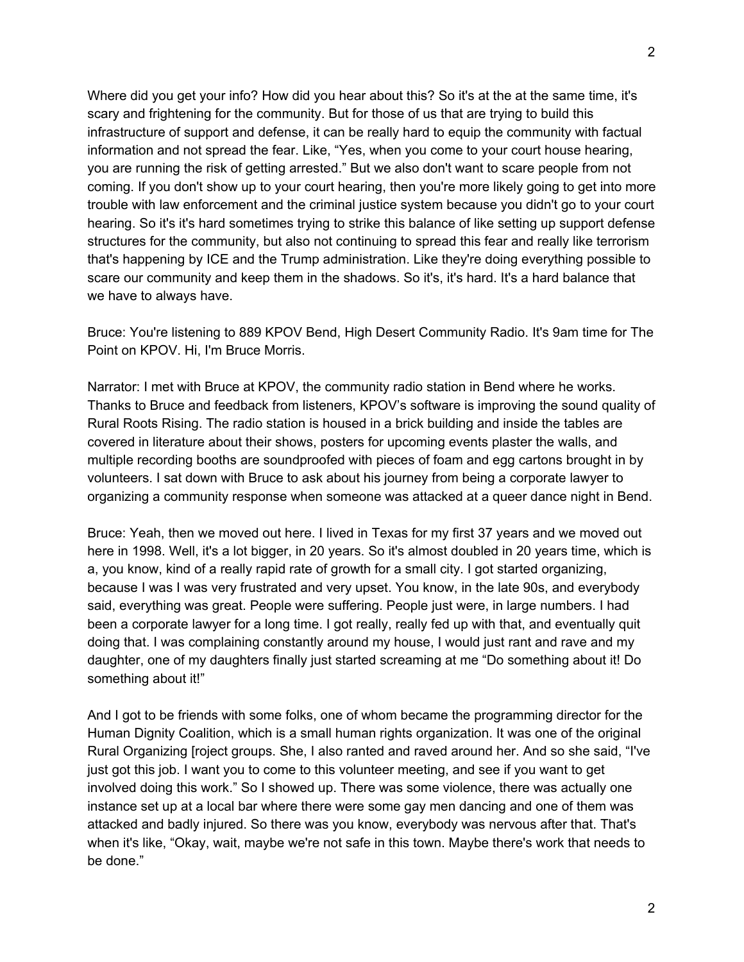Where did you get your info? How did you hear about this? So it's at the at the same time, it's scary and frightening for the community. But for those of us that are trying to build this infrastructure of support and defense, it can be really hard to equip the community with factual information and not spread the fear. Like, "Yes, when you come to your court house hearing, you are running the risk of getting arrested." But we also don't want to scare people from not coming. If you don't show up to your court hearing, then you're more likely going to get into more trouble with law enforcement and the criminal justice system because you didn't go to your court hearing. So it's it's hard sometimes trying to strike this balance of like setting up support defense structures for the community, but also not continuing to spread this fear and really like terrorism that's happening by ICE and the Trump administration. Like they're doing everything possible to scare our community and keep them in the shadows. So it's, it's hard. It's a hard balance that we have to always have.

Bruce: You're listening to 889 KPOV Bend, High Desert Community Radio. It's 9am time for The Point on KPOV. Hi, I'm Bruce Morris.

Narrator: I met with Bruce at KPOV, the community radio station in Bend where he works. Thanks to Bruce and feedback from listeners, KPOV's software is improving the sound quality of Rural Roots Rising. The radio station is housed in a brick building and inside the tables are covered in literature about their shows, posters for upcoming events plaster the walls, and multiple recording booths are soundproofed with pieces of foam and egg cartons brought in by volunteers. I sat down with Bruce to ask about his journey from being a corporate lawyer to organizing a community response when someone was attacked at a queer dance night in Bend.

Bruce: Yeah, then we moved out here. I lived in Texas for my first 37 years and we moved out here in 1998. Well, it's a lot bigger, in 20 years. So it's almost doubled in 20 years time, which is a, you know, kind of a really rapid rate of growth for a small city. I got started organizing, because I was I was very frustrated and very upset. You know, in the late 90s, and everybody said, everything was great. People were suffering. People just were, in large numbers. I had been a corporate lawyer for a long time. I got really, really fed up with that, and eventually quit doing that. I was complaining constantly around my house, I would just rant and rave and my daughter, one of my daughters finally just started screaming at me "Do something about it! Do something about it!"

And I got to be friends with some folks, one of whom became the programming director for the Human Dignity Coalition, which is a small human rights organization. It was one of the original Rural Organizing [roject groups. She, I also ranted and raved around her. And so she said, "I've just got this job. I want you to come to this volunteer meeting, and see if you want to get involved doing this work." So I showed up. There was some violence, there was actually one instance set up at a local bar where there were some gay men dancing and one of them was attacked and badly injured. So there was you know, everybody was nervous after that. That's when it's like, "Okay, wait, maybe we're not safe in this town. Maybe there's work that needs to be done."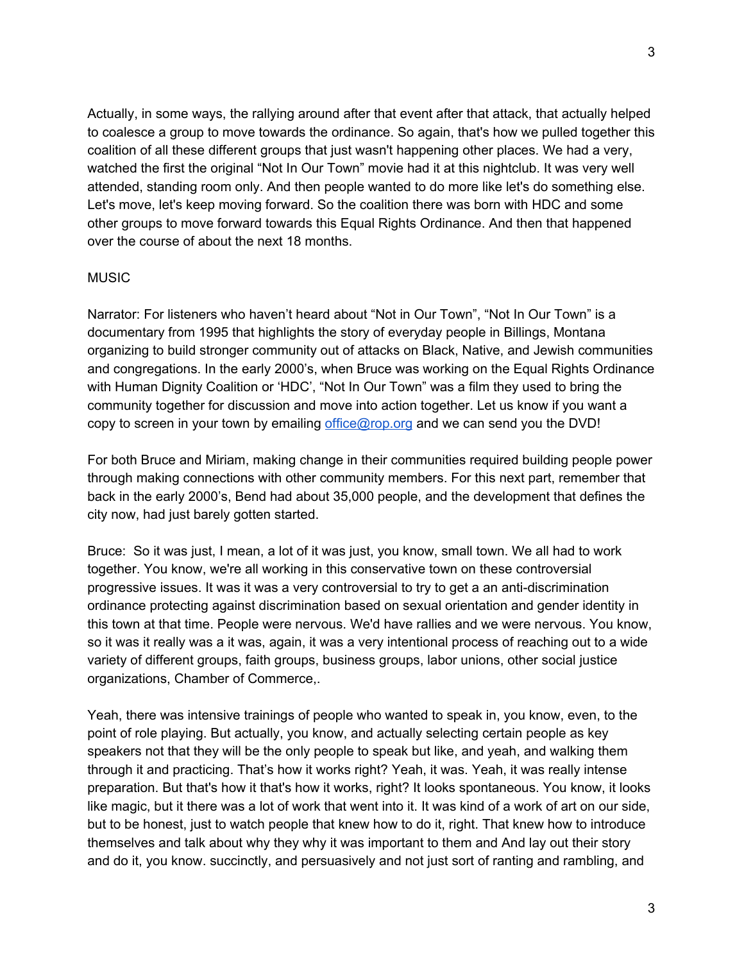3

Actually, in some ways, the rallying around after that event after that attack, that actually helped to coalesce a group to move towards the ordinance. So again, that's how we pulled together this coalition of all these different groups that just wasn't happening other places. We had a very, watched the first the original "Not In Our Town" movie had it at this nightclub. It was very well attended, standing room only. And then people wanted to do more like let's do something else. Let's move, let's keep moving forward. So the coalition there was born with HDC and some other groups to move forward towards this Equal Rights Ordinance. And then that happened over the course of about the next 18 months.

## MUSIC

Narrator: For listeners who haven't heard about "Not in Our Town", "Not In Our Town" is a documentary from 1995 that highlights the story of everyday people in Billings, Montana organizing to build stronger community out of attacks on Black, Native, and Jewish communities and congregations. In the early 2000's, when Bruce was working on the Equal Rights Ordinance with Human Dignity Coalition or 'HDC', "Not In Our Town" was a film they used to bring the community together for discussion and move into action together. Let us know if you want a copy to screen in your town by emailing [office@rop.org](mailto:office@rop.org) and we can send you the DVD!

For both Bruce and Miriam, making change in their communities required building people power through making connections with other community members. For this next part, remember that back in the early 2000's, Bend had about 35,000 people, and the development that defines the city now, had just barely gotten started.

Bruce: So it was just, I mean, a lot of it was just, you know, small town. We all had to work together. You know, we're all working in this conservative town on these controversial progressive issues. It was it was a very controversial to try to get a an anti-discrimination ordinance protecting against discrimination based on sexual orientation and gender identity in this town at that time. People were nervous. We'd have rallies and we were nervous. You know, so it was it really was a it was, again, it was a very intentional process of reaching out to a wide variety of different groups, faith groups, business groups, labor unions, other social justice organizations, Chamber of Commerce,.

Yeah, there was intensive trainings of people who wanted to speak in, you know, even, to the point of role playing. But actually, you know, and actually selecting certain people as key speakers not that they will be the only people to speak but like, and yeah, and walking them through it and practicing. That's how it works right? Yeah, it was. Yeah, it was really intense preparation. But that's how it that's how it works, right? It looks spontaneous. You know, it looks like magic, but it there was a lot of work that went into it. It was kind of a work of art on our side, but to be honest, just to watch people that knew how to do it, right. That knew how to introduce themselves and talk about why they why it was important to them and And lay out their story and do it, you know. succinctly, and persuasively and not just sort of ranting and rambling, and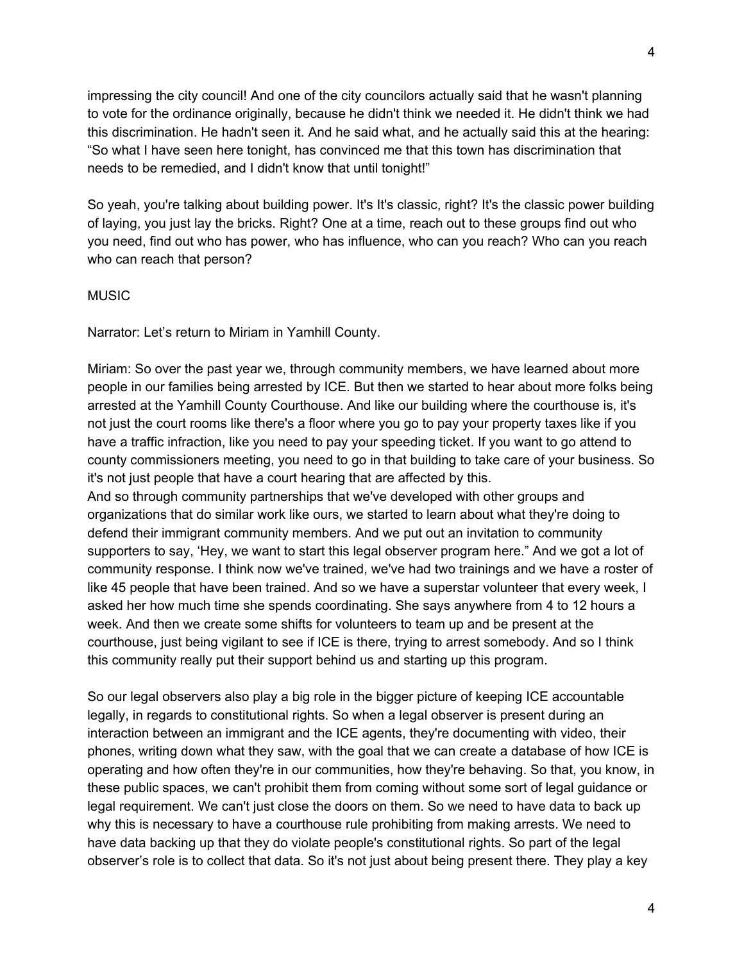impressing the city council! And one of the city councilors actually said that he wasn't planning to vote for the ordinance originally, because he didn't think we needed it. He didn't think we had this discrimination. He hadn't seen it. And he said what, and he actually said this at the hearing: "So what I have seen here tonight, has convinced me that this town has discrimination that needs to be remedied, and I didn't know that until tonight!"

So yeah, you're talking about building power. It's It's classic, right? It's the classic power building of laying, you just lay the bricks. Right? One at a time, reach out to these groups find out who you need, find out who has power, who has influence, who can you reach? Who can you reach who can reach that person?

#### MUSIC

Narrator: Let's return to Miriam in Yamhill County.

Miriam: So over the past year we, through community members, we have learned about more people in our families being arrested by ICE. But then we started to hear about more folks being arrested at the Yamhill County Courthouse. And like our building where the courthouse is, it's not just the court rooms like there's a floor where you go to pay your property taxes like if you have a traffic infraction, like you need to pay your speeding ticket. If you want to go attend to county commissioners meeting, you need to go in that building to take care of your business. So it's not just people that have a court hearing that are affected by this. And so through community partnerships that we've developed with other groups and organizations that do similar work like ours, we started to learn about what they're doing to defend their immigrant community members. And we put out an invitation to community supporters to say, 'Hey, we want to start this legal observer program here." And we got a lot of community response. I think now we've trained, we've had two trainings and we have a roster of like 45 people that have been trained. And so we have a superstar volunteer that every week, I asked her how much time she spends coordinating. She says anywhere from 4 to 12 hours a week. And then we create some shifts for volunteers to team up and be present at the courthouse, just being vigilant to see if ICE is there, trying to arrest somebody. And so I think

So our legal observers also play a big role in the bigger picture of keeping ICE accountable legally, in regards to constitutional rights. So when a legal observer is present during an interaction between an immigrant and the ICE agents, they're documenting with video, their phones, writing down what they saw, with the goal that we can create a database of how ICE is operating and how often they're in our communities, how they're behaving. So that, you know, in these public spaces, we can't prohibit them from coming without some sort of legal guidance or legal requirement. We can't just close the doors on them. So we need to have data to back up why this is necessary to have a courthouse rule prohibiting from making arrests. We need to have data backing up that they do violate people's constitutional rights. So part of the legal observer's role is to collect that data. So it's not just about being present there. They play a key

this community really put their support behind us and starting up this program.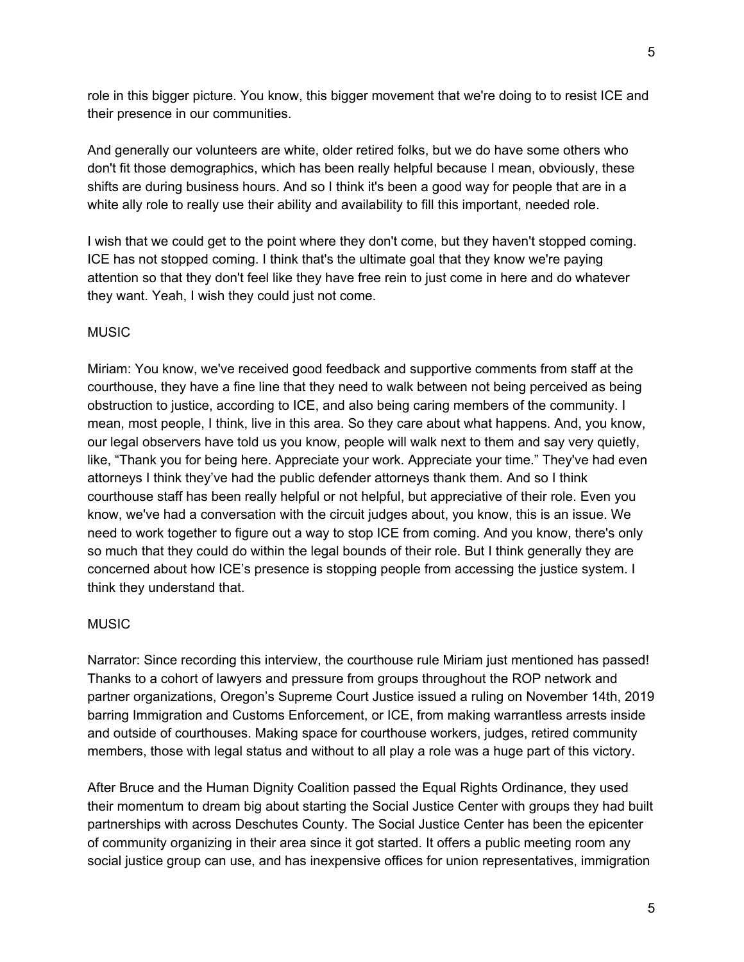role in this bigger picture. You know, this bigger movement that we're doing to to resist ICE and their presence in our communities.

And generally our volunteers are white, older retired folks, but we do have some others who don't fit those demographics, which has been really helpful because I mean, obviously, these shifts are during business hours. And so I think it's been a good way for people that are in a white ally role to really use their ability and availability to fill this important, needed role.

I wish that we could get to the point where they don't come, but they haven't stopped coming. ICE has not stopped coming. I think that's the ultimate goal that they know we're paying attention so that they don't feel like they have free rein to just come in here and do whatever they want. Yeah, I wish they could just not come.

## **MUSIC**

Miriam: You know, we've received good feedback and supportive comments from staff at the courthouse, they have a fine line that they need to walk between not being perceived as being obstruction to justice, according to ICE, and also being caring members of the community. I mean, most people, I think, live in this area. So they care about what happens. And, you know, our legal observers have told us you know, people will walk next to them and say very quietly, like, "Thank you for being here. Appreciate your work. Appreciate your time." They've had even attorneys I think they've had the public defender attorneys thank them. And so I think courthouse staff has been really helpful or not helpful, but appreciative of their role. Even you know, we've had a conversation with the circuit judges about, you know, this is an issue. We need to work together to figure out a way to stop ICE from coming. And you know, there's only so much that they could do within the legal bounds of their role. But I think generally they are concerned about how ICE's presence is stopping people from accessing the justice system. I think they understand that.

## **MUSIC**

Narrator: Since recording this interview, the courthouse rule Miriam just mentioned has passed! Thanks to a cohort of lawyers and pressure from groups throughout the ROP network and partner organizations, Oregon's Supreme Court Justice issued a ruling on November 14th, 2019 barring Immigration and Customs Enforcement, or ICE, from making warrantless arrests inside and outside of courthouses. Making space for courthouse workers, judges, retired community members, those with legal status and without to all play a role was a huge part of this victory.

After Bruce and the Human Dignity Coalition passed the Equal Rights Ordinance, they used their momentum to dream big about starting the Social Justice Center with groups they had built partnerships with across Deschutes County. The Social Justice Center has been the epicenter of community organizing in their area since it got started. It offers a public meeting room any social justice group can use, and has inexpensive offices for union representatives, immigration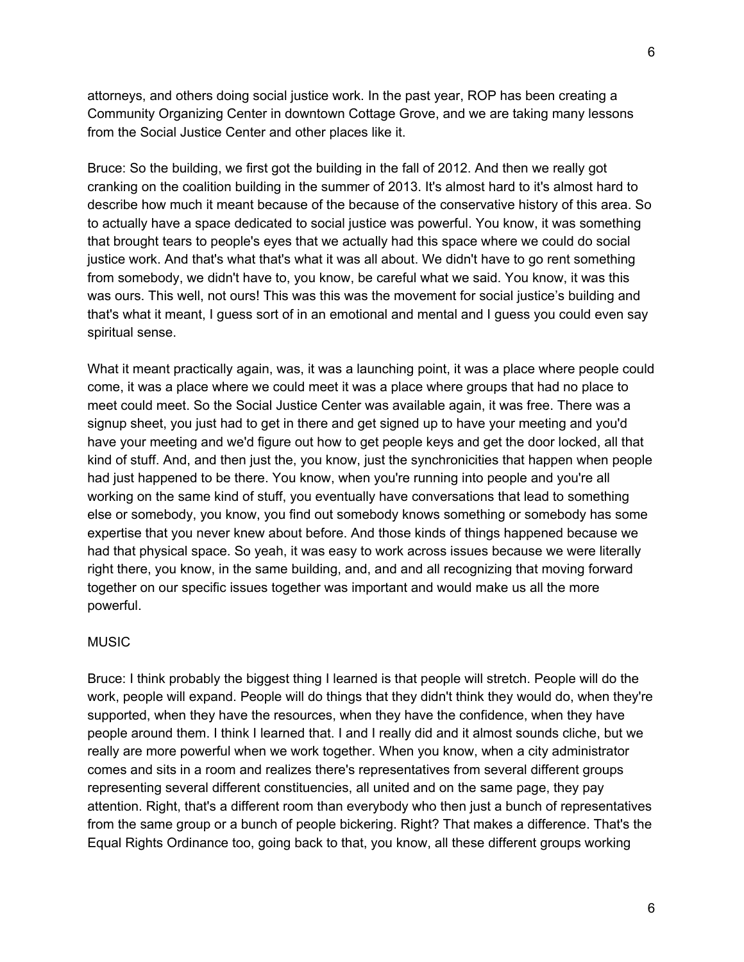attorneys, and others doing social justice work. In the past year, ROP has been creating a Community Organizing Center in downtown Cottage Grove, and we are taking many lessons from the Social Justice Center and other places like it.

Bruce: So the building, we first got the building in the fall of 2012. And then we really got cranking on the coalition building in the summer of 2013. It's almost hard to it's almost hard to describe how much it meant because of the because of the conservative history of this area. So to actually have a space dedicated to social justice was powerful. You know, it was something that brought tears to people's eyes that we actually had this space where we could do social justice work. And that's what that's what it was all about. We didn't have to go rent something from somebody, we didn't have to, you know, be careful what we said. You know, it was this was ours. This well, not ours! This was this was the movement for social justice's building and that's what it meant, I guess sort of in an emotional and mental and I guess you could even say spiritual sense.

What it meant practically again, was, it was a launching point, it was a place where people could come, it was a place where we could meet it was a place where groups that had no place to meet could meet. So the Social Justice Center was available again, it was free. There was a signup sheet, you just had to get in there and get signed up to have your meeting and you'd have your meeting and we'd figure out how to get people keys and get the door locked, all that kind of stuff. And, and then just the, you know, just the synchronicities that happen when people had just happened to be there. You know, when you're running into people and you're all working on the same kind of stuff, you eventually have conversations that lead to something else or somebody, you know, you find out somebody knows something or somebody has some expertise that you never knew about before. And those kinds of things happened because we had that physical space. So yeah, it was easy to work across issues because we were literally right there, you know, in the same building, and, and and all recognizing that moving forward together on our specific issues together was important and would make us all the more powerful.

## MUSIC

Bruce: I think probably the biggest thing I learned is that people will stretch. People will do the work, people will expand. People will do things that they didn't think they would do, when they're supported, when they have the resources, when they have the confidence, when they have people around them. I think I learned that. I and I really did and it almost sounds cliche, but we really are more powerful when we work together. When you know, when a city administrator comes and sits in a room and realizes there's representatives from several different groups representing several different constituencies, all united and on the same page, they pay attention. Right, that's a different room than everybody who then just a bunch of representatives from the same group or a bunch of people bickering. Right? That makes a difference. That's the Equal Rights Ordinance too, going back to that, you know, all these different groups working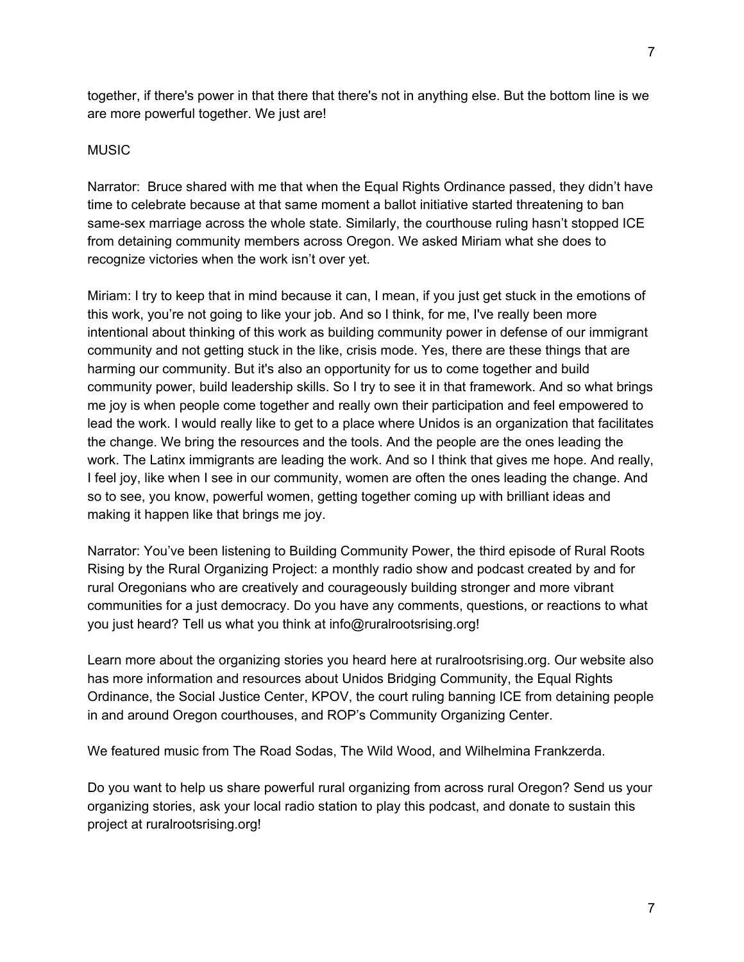together, if there's power in that there that there's not in anything else. But the bottom line is we are more powerful together. We just are!

## **MUSIC**

Narrator: Bruce shared with me that when the Equal Rights Ordinance passed, they didn't have time to celebrate because at that same moment a ballot initiative started threatening to ban same-sex marriage across the whole state. Similarly, the courthouse ruling hasn't stopped ICE from detaining community members across Oregon. We asked Miriam what she does to recognize victories when the work isn't over yet.

Miriam: I try to keep that in mind because it can, I mean, if you just get stuck in the emotions of this work, you're not going to like your job. And so I think, for me, I've really been more intentional about thinking of this work as building community power in defense of our immigrant community and not getting stuck in the like, crisis mode. Yes, there are these things that are harming our community. But it's also an opportunity for us to come together and build community power, build leadership skills. So I try to see it in that framework. And so what brings me joy is when people come together and really own their participation and feel empowered to lead the work. I would really like to get to a place where Unidos is an organization that facilitates the change. We bring the resources and the tools. And the people are the ones leading the work. The Latinx immigrants are leading the work. And so I think that gives me hope. And really, I feel joy, like when I see in our community, women are often the ones leading the change. And so to see, you know, powerful women, getting together coming up with brilliant ideas and making it happen like that brings me joy.

Narrator: You've been listening to Building Community Power, the third episode of Rural Roots Rising by the Rural Organizing Project: a monthly radio show and podcast created by and for rural Oregonians who are creatively and courageously building stronger and more vibrant communities for a just democracy. Do you have any comments, questions, or reactions to what you just heard? Tell us what you think at info@ruralrootsrising.org!

Learn more about the organizing stories you heard here at ruralrootsrising.org. Our website also has more information and resources about Unidos Bridging Community, the Equal Rights Ordinance, the Social Justice Center, KPOV, the court ruling banning ICE from detaining people in and around Oregon courthouses, and ROP's Community Organizing Center.

We featured music from The Road Sodas, The Wild Wood, and Wilhelmina Frankzerda.

Do you want to help us share powerful rural organizing from across rural Oregon? Send us your organizing stories, ask your local radio station to play this podcast, and donate to sustain this project at ruralrootsrising.org!